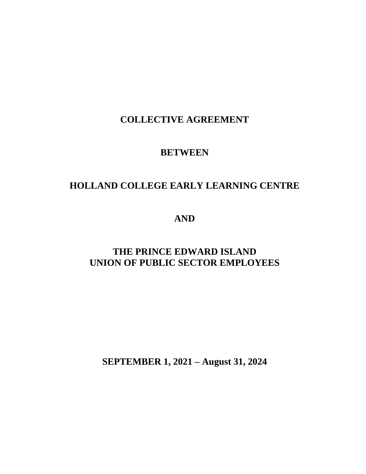# **COLLECTIVE AGREEMENT**

# **BETWEEN**

# **HOLLAND COLLEGE EARLY LEARNING CENTRE**

**AND**

# **THE PRINCE EDWARD ISLAND UNION OF PUBLIC SECTOR EMPLOYEES**

**SEPTEMBER 1, 2021 – August 31, 2024**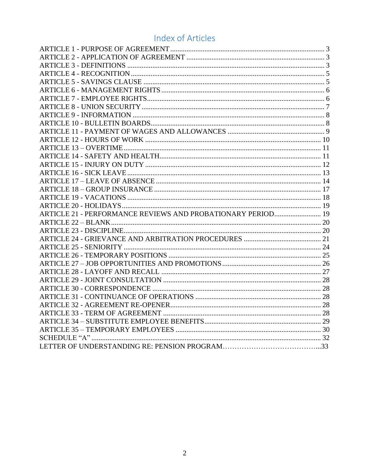# **Index of Articles**

| ARTICLE 21 - PERFORMANCE REVIEWS AND PROBATIONARY PERIOD 19 |  |
|-------------------------------------------------------------|--|
|                                                             |  |
|                                                             |  |
|                                                             |  |
|                                                             |  |
|                                                             |  |
|                                                             |  |
|                                                             |  |
|                                                             |  |
|                                                             |  |
|                                                             |  |
|                                                             |  |
|                                                             |  |
|                                                             |  |
|                                                             |  |
|                                                             |  |
|                                                             |  |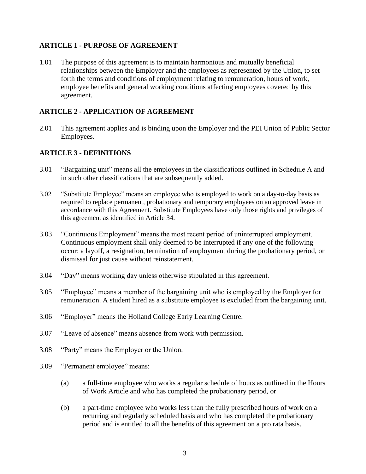## <span id="page-2-0"></span>**ARTICLE 1 - PURPOSE OF AGREEMENT**

1.01 The purpose of this agreement is to maintain harmonious and mutually beneficial relationships between the Employer and the employees as represented by the Union, to set forth the terms and conditions of employment relating to remuneration, hours of work, employee benefits and general working conditions affecting employees covered by this agreement.

# <span id="page-2-1"></span>**ARTICLE 2 - APPLICATION OF AGREEMENT**

2.01 This agreement applies and is binding upon the Employer and the PEI Union of Public Sector Employees.

# <span id="page-2-2"></span>**ARTICLE 3 - DEFINITIONS**

- 3.01 "Bargaining unit" means all the employees in the classifications outlined in Schedule A and in such other classifications that are subsequently added.
- 3.02 "Substitute Employee" means an employee who is employed to work on a day-to-day basis as required to replace permanent, probationary and temporary employees on an approved leave in accordance with this Agreement. Substitute Employees have only those rights and privileges of this agreement as identified in Article 34.
- 3.03 "Continuous Employment" means the most recent period of uninterrupted employment. Continuous employment shall only deemed to be interrupted if any one of the following occur: a layoff, a resignation, termination of employment during the probationary period, or dismissal for just cause without reinstatement.
- 3.04 "Day" means working day unless otherwise stipulated in this agreement.
- 3.05 "Employee" means a member of the bargaining unit who is employed by the Employer for remuneration. A student hired as a substitute employee is excluded from the bargaining unit.
- 3.06 "Employer" means the Holland College Early Learning Centre.
- 3.07 "Leave of absence" means absence from work with permission.
- 3.08 "Party" means the Employer or the Union.
- 3.09 "Permanent employee" means:
	- (a) a full-time employee who works a regular schedule of hours as outlined in the Hours of Work Article and who has completed the probationary period, or
	- (b) a part-time employee who works less than the fully prescribed hours of work on a recurring and regularly scheduled basis and who has completed the probationary period and is entitled to all the benefits of this agreement on a pro rata basis.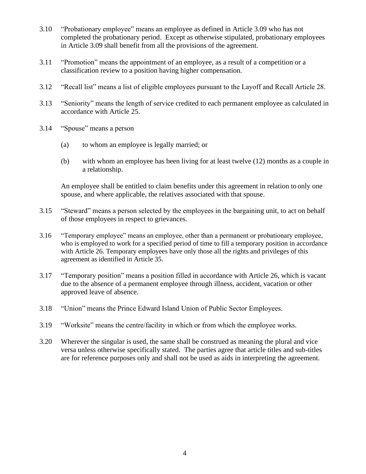- 3.10 "Probationary employee" means an employee as defined in Article 3.09 who has not completed the probationary period. Except as otherwise stipulated, probationary employees in Article 3.09 shall benefit from all the provisions of the agreement.
- 3.11 "Promotion" means the appointment of an employee, as a result of a competition or a classification review to a position having higher compensation.
- 3.12 "Recall list" means a list of eligible employees pursuant to the Layoff and Recall Article 28.
- 3.13 "Seniority" means the length of service credited to each permanent employee as calculated in accordance with Article 25.
- 3.14 "Spouse" means a person
	- (a) to whom an employee is legally married; or
	- (b) with whom an employee has been living for at least twelve (12) months as a couple in a relationship.

An employee shall be entitled to claim benefits under this agreement in relation to only one spouse, and where applicable, the relatives associated with that spouse.

- 3.15 "Steward" means a person selected by the employees in the bargaining unit, to act on behalf of those employees in respect to grievances.
- 3.16 "Temporary employee" means an employee, other than a permanent or probationary employee, who is employed to work for a specified period of time to fill a temporary position in accordance with Article 26. Temporary employees have only those all the rights and privileges of this agreement as identified in Article 35.
- 3.17 "Temporary position" means a position filled in accordance with Article 26, which is vacant due to the absence of a permanent employee through illness, accident, vacation or other approved leave of absence.
- 3.18 "Union" means the Prince Edward Island Union of Public Sector Employees.
- 3.19 "Worksite" means the centre/facility in which or from which the employee works.
- 3.20 Wherever the singular is used, the same shall be construed as meaning the plural and vice versa unless otherwise specifically stated. The parties agree that article titles and sub-titles are for reference purposes only and shall not be used as aids in interpreting the agreement.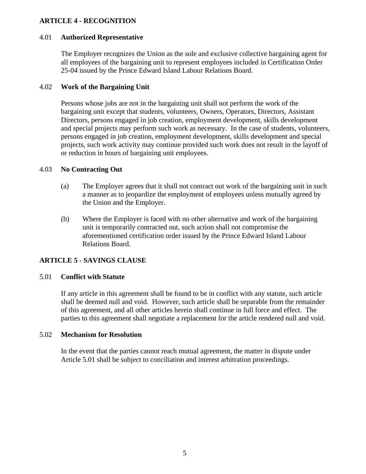## <span id="page-4-0"></span>**ARTICLE 4 - RECOGNITION**

#### 4.01 **Authorized Representative**

The Employer recognizes the Union as the sole and exclusive collective bargaining agent for all employees of the bargaining unit to represent employees included in Certification Order 25-04 issued by the Prince Edward Island Labour Relations Board.

#### 4.02 **Work of the Bargaining Unit**

Persons whose jobs are not in the bargaining unit shall not perform the work of the bargaining unit except that students, volunteers, Owners, Operators, Directors, Assistant Directors, persons engaged in job creation, employment development, skills development and special projects may perform such work as necessary. In the case of students, volunteers, persons engaged in job creation, employment development, skills development and special projects, such work activity may continue provided such work does not result in the layoff of or reduction in hours of bargaining unit employees.

#### 4.03 **No Contracting Out**

- (a) The Employer agrees that it shall not contract out work of the bargaining unit in such a manner as to jeopardize the employment of employees unless mutually agreed by the Union and the Employer.
- (b) Where the Employer is faced with no other alternative and work of the bargaining unit is temporarily contracted out, such action shall not compromise the aforementioned certification order issued by the Prince Edward Island Labour Relations Board.

#### <span id="page-4-1"></span>**ARTICLE 5 - SAVINGS CLAUSE**

#### 5.01 **Conflict with Statute**

If any article in this agreement shall be found to be in conflict with any statute, such article shall be deemed null and void. However, such article shall be separable from the remainder of this agreement, and all other articles herein shall continue in full force and effect. The parties to this agreement shall negotiate a replacement for the article rendered null and void.

#### 5.02 **Mechanism for Resolution**

In the event that the parties cannot reach mutual agreement, the matter in dispute under Article 5.01 shall be subject to conciliation and interest arbitration proceedings.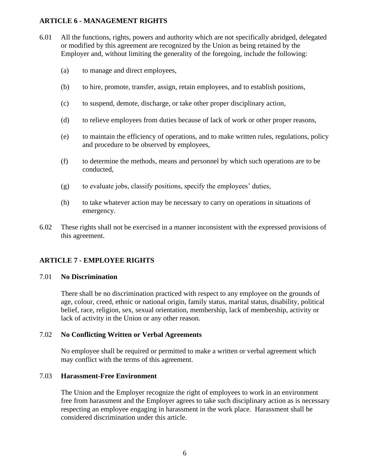#### <span id="page-5-0"></span>**ARTICLE 6 - MANAGEMENT RIGHTS**

- 6.01 All the functions, rights, powers and authority which are not specifically abridged, delegated or modified by this agreement are recognized by the Union as being retained by the Employer and, without limiting the generality of the foregoing, include the following:
	- (a) to manage and direct employees,
	- (b) to hire, promote, transfer, assign, retain employees, and to establish positions,
	- (c) to suspend, demote, discharge, or take other proper disciplinary action,
	- (d) to relieve employees from duties because of lack of work or other proper reasons,
	- (e) to maintain the efficiency of operations, and to make written rules, regulations, policy and procedure to be observed by employees,
	- (f) to determine the methods, means and personnel by which such operations are to be conducted,
	- (g) to evaluate jobs, classify positions, specify the employees' duties,
	- (h) to take whatever action may be necessary to carry on operations in situations of emergency.
- 6.02 These rights shall not be exercised in a manner inconsistent with the expressed provisions of this agreement.

## <span id="page-5-1"></span>**ARTICLE 7 - EMPLOYEE RIGHTS**

#### 7.01 **No Discrimination**

There shall be no discrimination practiced with respect to any employee on the grounds of age, colour, creed, ethnic or national origin, family status, marital status, disability, political belief, race, religion, sex, sexual orientation, membership, lack of membership, activity or lack of activity in the Union or any other reason.

#### 7.02 **No Conflicting Written or Verbal Agreements**

No employee shall be required or permitted to make a written or verbal agreement which may conflict with the terms of this agreement.

#### 7.03 **Harassment-Free Environment**

The Union and the Employer recognize the right of employees to work in an environment free from harassment and the Employer agrees to take such disciplinary action as is necessary respecting an employee engaging in harassment in the work place. Harassment shall be considered discrimination under this article.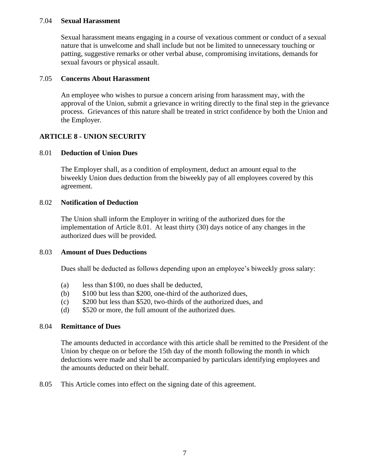#### 7.04 **Sexual Harassment**

Sexual harassment means engaging in a course of vexatious comment or conduct of a sexual nature that is unwelcome and shall include but not be limited to unnecessary touching or patting, suggestive remarks or other verbal abuse, compromising invitations, demands for sexual favours or physical assault.

#### 7.05 **Concerns About Harassment**

An employee who wishes to pursue a concern arising from harassment may, with the approval of the Union, submit a grievance in writing directly to the final step in the grievance process. Grievances of this nature shall be treated in strict confidence by both the Union and the Employer.

## <span id="page-6-0"></span>**ARTICLE 8 - UNION SECURITY**

#### 8.01 **Deduction of Union Dues**

The Employer shall, as a condition of employment, deduct an amount equal to the biweekly Union dues deduction from the biweekly pay of all employees covered by this agreement.

#### 8.02 **Notification of Deduction**

The Union shall inform the Employer in writing of the authorized dues for the implementation of Article 8.01. At least thirty (30) days notice of any changes in the authorized dues will be provided.

#### 8.03 **Amount of Dues Deductions**

Dues shall be deducted as follows depending upon an employee's biweekly gross salary:

- (a) less than \$100, no dues shall be deducted,
- (b) \$100 but less than \$200, one-third of the authorized dues,
- (c) \$200 but less than \$520, two-thirds of the authorized dues, and
- (d) \$520 or more, the full amount of the authorized dues.

#### 8.04 **Remittance of Dues**

The amounts deducted in accordance with this article shall be remitted to the President of the Union by cheque on or before the 15th day of the month following the month in which deductions were made and shall be accompanied by particulars identifying employees and the amounts deducted on their behalf.

8.05 This Article comes into effect on the signing date of this agreement.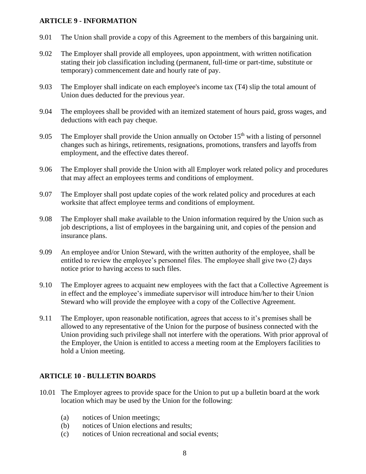#### <span id="page-7-0"></span>**ARTICLE 9 - INFORMATION**

- 9.01 The Union shall provide a copy of this Agreement to the members of this bargaining unit.
- 9.02 The Employer shall provide all employees, upon appointment, with written notification stating their job classification including (permanent, full-time or part-time, substitute or temporary) commencement date and hourly rate of pay.
- 9.03 The Employer shall indicate on each employee's income tax (T4) slip the total amount of Union dues deducted for the previous year.
- 9.04 The employees shall be provided with an itemized statement of hours paid, gross wages, and deductions with each pay cheque.
- 9.05 The Employer shall provide the Union annually on October  $15<sup>th</sup>$  with a listing of personnel changes such as hirings, retirements, resignations, promotions, transfers and layoffs from employment, and the effective dates thereof.
- 9.06 The Employer shall provide the Union with all Employer work related policy and procedures that may affect an employees terms and conditions of employment.
- 9.07 The Employer shall post update copies of the work related policy and procedures at each worksite that affect employee terms and conditions of employment.
- 9.08 The Employer shall make available to the Union information required by the Union such as job descriptions, a list of employees in the bargaining unit, and copies of the pension and insurance plans.
- 9.09 An employee and/or Union Steward, with the written authority of the employee, shall be entitled to review the employee's personnel files. The employee shall give two (2) days notice prior to having access to such files.
- 9.10 The Employer agrees to acquaint new employees with the fact that a Collective Agreement is in effect and the employee's immediate supervisor will introduce him/her to their Union Steward who will provide the employee with a copy of the Collective Agreement.
- 9.11 The Employer, upon reasonable notification, agrees that access to it's premises shall be allowed to any representative of the Union for the purpose of business connected with the Union providing such privilege shall not interfere with the operations. With prior approval of the Employer, the Union is entitled to access a meeting room at the Employers facilities to hold a Union meeting.

# <span id="page-7-1"></span>**ARTICLE 10 - BULLETIN BOARDS**

- 10.01 The Employer agrees to provide space for the Union to put up a bulletin board at the work location which may be used by the Union for the following:
	- (a) notices of Union meetings;
	- (b) notices of Union elections and results;
	- (c) notices of Union recreational and social events;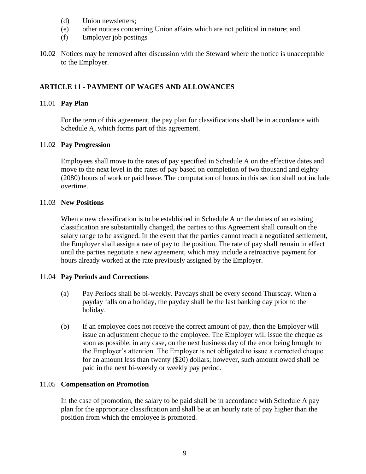- (d) Union newsletters;
- (e) other notices concerning Union affairs which are not political in nature; and
- (f) Employer job postings
- 10.02 Notices may be removed after discussion with the Steward where the notice is unacceptable to the Employer.

# <span id="page-8-0"></span>**ARTICLE 11 - PAYMENT OF WAGES AND ALLOWANCES**

#### 11.01 **Pay Plan**

For the term of this agreement, the pay plan for classifications shall be in accordance with Schedule A, which forms part of this agreement.

#### 11.02 **Pay Progression**

Employees shall move to the rates of pay specified in Schedule A on the effective dates and move to the next level in the rates of pay based on completion of two thousand and eighty (2080) hours of work or paid leave. The computation of hours in this section shall not include overtime.

#### 11.03 **New Positions**

When a new classification is to be established in Schedule A or the duties of an existing classification are substantially changed, the parties to this Agreement shall consult on the salary range to be assigned. In the event that the parties cannot reach a negotiated settlement, the Employer shall assign a rate of pay to the position. The rate of pay shall remain in effect until the parties negotiate a new agreement, which may include a retroactive payment for hours already worked at the rate previously assigned by the Employer.

## 11.04 **Pay Periods and Corrections**

- (a) Pay Periods shall be bi-weekly. Paydays shall be every second Thursday. When a payday falls on a holiday, the payday shall be the last banking day prior to the holiday.
- (b) If an employee does not receive the correct amount of pay, then the Employer will issue an adjustment cheque to the employee. The Employer will issue the cheque as soon as possible, in any case, on the next business day of the error being brought to the Employer's attention. The Employer is not obligated to issue a corrected cheque for an amount less than twenty (\$20) dollars; however, such amount owed shall be paid in the next bi-weekly or weekly pay period.

#### 11.05 **Compensation on Promotion**

In the case of promotion, the salary to be paid shall be in accordance with Schedule A pay plan for the appropriate classification and shall be at an hourly rate of pay higher than the position from which the employee is promoted.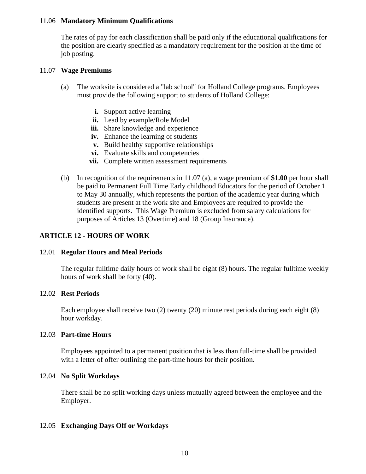#### 11.06 **Mandatory Minimum Qualifications**

The rates of pay for each classification shall be paid only if the educational qualifications for the position are clearly specified as a mandatory requirement for the position at the time of job posting.

#### 11.07 **Wage Premiums**

- (a) The worksite is considered a "lab school" for Holland College programs. Employees must provide the following support to students of Holland College:
	- **i.** Support active learning
	- **ii.** Lead by example/Role Model
	- **iii.** Share knowledge and experience
	- **iv.** Enhance the learning of students
	- **v.** Build healthy supportive relationships
	- **vi.** Evaluate skills and competencies
	- **vii.** Complete written assessment requirements
- (b) In recognition of the requirements in 11.07 (a), a wage premium of **\$1.00** per hour shall be paid to Permanent Full Time Early childhood Educators for the period of October 1 to May 30 annually, which represents the portion of the academic year during which students are present at the work site and Employees are required to provide the identified supports. This Wage Premium is excluded from salary calculations for purposes of Articles 13 (Overtime) and 18 (Group Insurance).

#### <span id="page-9-0"></span>**ARTICLE 12 - HOURS OF WORK**

#### 12.01 **Regular Hours and Meal Periods**

The regular fulltime daily hours of work shall be eight (8) hours. The regular fulltime weekly hours of work shall be forty (40).

#### 12.02 **Rest Periods**

Each employee shall receive two (2) twenty (20) minute rest periods during each eight (8) hour workday.

#### 12.03 **Part-time Hours**

Employees appointed to a permanent position that is less than full-time shall be provided with a letter of offer outlining the part-time hours for their position.

#### 12.04 **No Split Workdays**

There shall be no split working days unless mutually agreed between the employee and the Employer.

#### 12.05 **Exchanging Days Off or Workdays**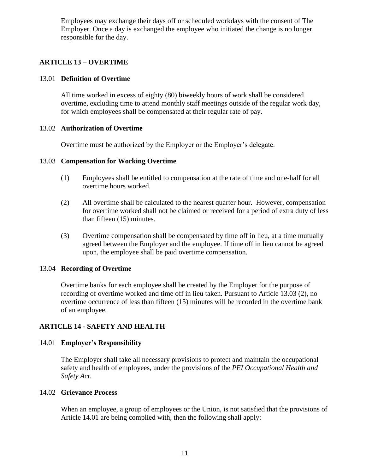Employees may exchange their days off or scheduled workdays with the consent of The Employer. Once a day is exchanged the employee who initiated the change is no longer responsible for the day.

# <span id="page-10-0"></span>**ARTICLE 13 – OVERTIME**

#### 13.01 **Definition of Overtime**

All time worked in excess of eighty (80) biweekly hours of work shall be considered overtime, excluding time to attend monthly staff meetings outside of the regular work day, for which employees shall be compensated at their regular rate of pay.

## 13.02 **Authorization of Overtime**

Overtime must be authorized by the Employer or the Employer's delegate.

## 13.03 **Compensation for Working Overtime**

- (1) Employees shall be entitled to compensation at the rate of time and one-half for all overtime hours worked.
- (2) All overtime shall be calculated to the nearest quarter hour. However, compensation for overtime worked shall not be claimed or received for a period of extra duty of less than fifteen (15) minutes.
- (3) Overtime compensation shall be compensated by time off in lieu, at a time mutually agreed between the Employer and the employee. If time off in lieu cannot be agreed upon, the employee shall be paid overtime compensation.

#### 13.04 **Recording of Overtime**

Overtime banks for each employee shall be created by the Employer for the purpose of recording of overtime worked and time off in lieu taken. Pursuant to Article 13.03 (2), no overtime occurrence of less than fifteen (15) minutes will be recorded in the overtime bank of an employee.

## <span id="page-10-1"></span>**ARTICLE 14 - SAFETY AND HEALTH**

## 14.01 **Employer's Responsibility**

The Employer shall take all necessary provisions to protect and maintain the occupational safety and health of employees, under the provisions of the *PEI Occupational Health and Safety Act*.

#### 14.02 **Grievance Process**

When an employee, a group of employees or the Union, is not satisfied that the provisions of Article 14.01 are being complied with, then the following shall apply: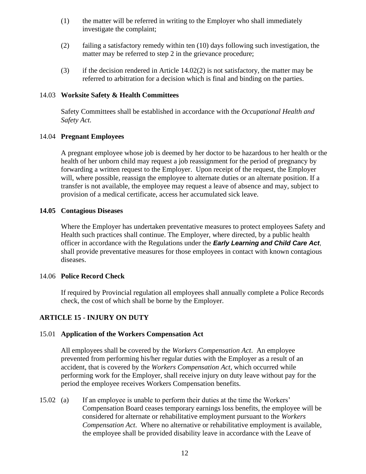- (1) the matter will be referred in writing to the Employer who shall immediately investigate the complaint;
- (2) failing a satisfactory remedy within ten (10) days following such investigation, the matter may be referred to step 2 in the grievance procedure;
- (3) if the decision rendered in Article  $14.02(2)$  is not satisfactory, the matter may be referred to arbitration for a decision which is final and binding on the parties.

#### 14.03 **Worksite Safety & Health Committees**

Safety Committees shall be established in accordance with the *Occupational Health and Safety Act.*

## 14.04 **Pregnant Employees**

A pregnant employee whose job is deemed by her doctor to be hazardous to her health or the health of her unborn child may request a job reassignment for the period of pregnancy by forwarding a written request to the Employer. Upon receipt of the request, the Employer will, where possible, reassign the employee to alternate duties or an alternate position. If a transfer is not available, the employee may request a leave of absence and may, subject to provision of a medical certificate, access her accumulated sick leave.

## **14.05 Contagious Diseases**

Where the Employer has undertaken preventative measures to protect employees Safety and Health such practices shall continue. The Employer, where directed, by a public health officer in accordance with the Regulations under the *Early Learning and Child Care Act*, shall provide preventative measures for those employees in contact with known contagious diseases.

## 14.06 **Police Record Check**

If required by Provincial regulation all employees shall annually complete a Police Records check, the cost of which shall be borne by the Employer.

## <span id="page-11-0"></span>**ARTICLE 15 - INJURY ON DUTY**

## 15.01 **Application of the Workers Compensation Act**

All employees shall be covered by the *Workers Compensation Act*. An employee prevented from performing his/her regular duties with the Employer as a result of an accident, that is covered by the *Workers Compensation Act*, which occurred while performing work for the Employer, shall receive injury on duty leave without pay for the period the employee receives Workers Compensation benefits.

15.02 (a) If an employee is unable to perform their duties at the time the Workers' Compensation Board ceases temporary earnings loss benefits, the employee will be considered for alternate or rehabilitative employment pursuant to the *Workers Compensation Act*. Where no alternative or rehabilitative employment is available, the employee shall be provided disability leave in accordance with the Leave of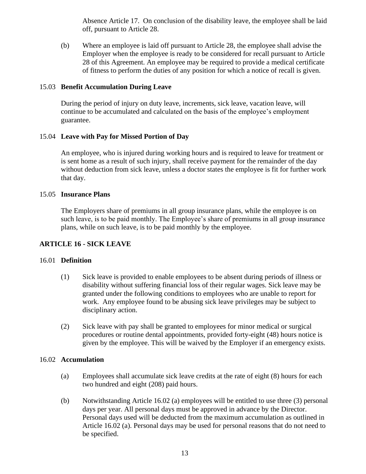Absence Article 17. On conclusion of the disability leave, the employee shall be laid off, pursuant to Article 28.

(b) Where an employee is laid off pursuant to Article 28, the employee shall advise the Employer when the employee is ready to be considered for recall pursuant to Article 28 of this Agreement. An employee may be required to provide a medical certificate of fitness to perform the duties of any position for which a notice of recall is given.

## 15.03 **Benefit Accumulation During Leave**

During the period of injury on duty leave, increments, sick leave, vacation leave, will continue to be accumulated and calculated on the basis of the employee's employment guarantee.

## 15.04 **Leave with Pay for Missed Portion of Day**

An employee, who is injured during working hours and is required to leave for treatment or is sent home as a result of such injury, shall receive payment for the remainder of the day without deduction from sick leave, unless a doctor states the employee is fit for further work that day.

#### 15.05 **Insurance Plans**

The Employers share of premiums in all group insurance plans, while the employee is on such leave, is to be paid monthly. The Employee's share of premiums in all group insurance plans, while on such leave, is to be paid monthly by the employee.

## <span id="page-12-0"></span>**ARTICLE 16 - SICK LEAVE**

#### 16.01 **Definition**

- (1) Sick leave is provided to enable employees to be absent during periods of illness or disability without suffering financial loss of their regular wages. Sick leave may be granted under the following conditions to employees who are unable to report for work. Any employee found to be abusing sick leave privileges may be subject to disciplinary action.
- (2) Sick leave with pay shall be granted to employees for minor medical or surgical procedures or routine dental appointments, provided forty-eight (48) hours notice is given by the employee. This will be waived by the Employer if an emergency exists.

#### 16.02 **Accumulation**

- (a) Employees shall accumulate sick leave credits at the rate of eight (8) hours for each two hundred and eight (208) paid hours.
- (b) Notwithstanding Article 16.02 (a) employees will be entitled to use three (3) personal days per year. All personal days must be approved in advance by the Director. Personal days used will be deducted from the maximum accumulation as outlined in Article 16.02 (a). Personal days may be used for personal reasons that do not need to be specified.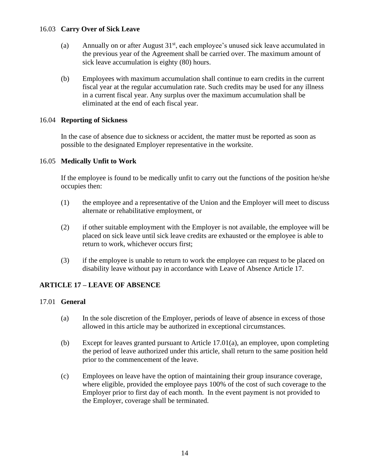#### 16.03 **Carry Over of Sick Leave**

- (a) Annually on or after August  $31<sup>st</sup>$ , each employee's unused sick leave accumulated in the previous year of the Agreement shall be carried over. The maximum amount of sick leave accumulation is eighty (80) hours.
- (b) Employees with maximum accumulation shall continue to earn credits in the current fiscal year at the regular accumulation rate. Such credits may be used for any illness in a current fiscal year. Any surplus over the maximum accumulation shall be eliminated at the end of each fiscal year.

## 16.04 **Reporting of Sickness**

In the case of absence due to sickness or accident, the matter must be reported as soon as possible to the designated Employer representative in the worksite.

## 16.05 **Medically Unfit to Work**

If the employee is found to be medically unfit to carry out the functions of the position he/she occupies then:

- (1) the employee and a representative of the Union and the Employer will meet to discuss alternate or rehabilitative employment, or
- (2) if other suitable employment with the Employer is not available, the employee will be placed on sick leave until sick leave credits are exhausted or the employee is able to return to work, whichever occurs first;
- (3) if the employee is unable to return to work the employee can request to be placed on disability leave without pay in accordance with Leave of Absence Article 17.

## <span id="page-13-0"></span>**ARTICLE 17 – LEAVE OF ABSENCE**

#### 17.01 **General**

- (a) In the sole discretion of the Employer, periods of leave of absence in excess of those allowed in this article may be authorized in exceptional circumstances.
- (b) Except for leaves granted pursuant to Article 17.01(a), an employee, upon completing the period of leave authorized under this article, shall return to the same position held prior to the commencement of the leave.
- (c) Employees on leave have the option of maintaining their group insurance coverage, where eligible, provided the employee pays 100% of the cost of such coverage to the Employer prior to first day of each month. In the event payment is not provided to the Employer, coverage shall be terminated.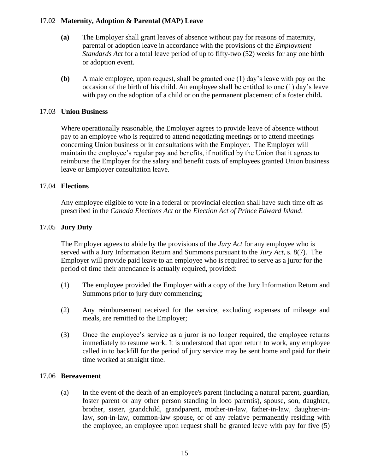## 17.02 **Maternity, Adoption & Parental (MAP) Leave**

- **(a)** The Employer shall grant leaves of absence without pay for reasons of maternity, parental or adoption leave in accordance with the provisions of the *Employment Standards Act* for a total leave period of up to fifty-two (52) weeks for any one birth or adoption event.
- **(b)** A male employee, upon request, shall be granted one (1) day's leave with pay on the occasion of the birth of his child. An employee shall be entitled to one (1) day's leave with pay on the adoption of a child or on the permanent placement of a foster child**.**

#### 17.03 **Union Business**

Where operationally reasonable, the Employer agrees to provide leave of absence without pay to an employee who is required to attend negotiating meetings or to attend meetings concerning Union business or in consultations with the Employer. The Employer will maintain the employee's regular pay and benefits, if notified by the Union that it agrees to reimburse the Employer for the salary and benefit costs of employees granted Union business leave or Employer consultation leave.

## 17.04 **Elections**

Any employee eligible to vote in a federal or provincial election shall have such time off as prescribed in the *Canada Elections Act* or the *Election Act of Prince Edward Island*.

## 17.05 **Jury Duty**

The Employer agrees to abide by the provisions of the *Jury Act* for any employee who is served with a Jury Information Return and Summons pursuant to the *Jury Act*, s. 8(7). The Employer will provide paid leave to an employee who is required to serve as a juror for the period of time their attendance is actually required, provided:

- (1) The employee provided the Employer with a copy of the Jury Information Return and Summons prior to jury duty commencing;
- (2) Any reimbursement received for the service, excluding expenses of mileage and meals, are remitted to the Employer;
- (3) Once the employee's service as a juror is no longer required, the employee returns immediately to resume work. It is understood that upon return to work, any employee called in to backfill for the period of jury service may be sent home and paid for their time worked at straight time.

#### 17.06 **Bereavement**

(a) In the event of the death of an employee's parent (including a natural parent, guardian, foster parent or any other person standing in loco parentis), spouse, son, daughter, brother, sister, grandchild, grandparent, mother-in-law, father-in-law, daughter-inlaw, son-in-law, common-law spouse, or of any relative permanently residing with the employee, an employee upon request shall be granted leave with pay for five (5)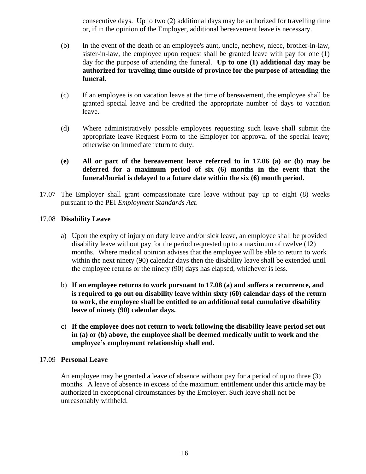consecutive days. Up to two (2) additional days may be authorized for travelling time or, if in the opinion of the Employer, additional bereavement leave is necessary.

- (b) In the event of the death of an employee's aunt, uncle, nephew, niece, brother-in-law, sister-in-law, the employee upon request shall be granted leave with pay for one (1) day for the purpose of attending the funeral. **Up to one (1) additional day may be authorized for traveling time outside of province for the purpose of attending the funeral.**
- (c) If an employee is on vacation leave at the time of bereavement, the employee shall be granted special leave and be credited the appropriate number of days to vacation leave.
- (d) Where administratively possible employees requesting such leave shall submit the appropriate leave Request Form to the Employer for approval of the special leave; otherwise on immediate return to duty.
- **(e) All or part of the bereavement leave referred to in 17.06 (a) or (b) may be deferred for a maximum period of six (6) months in the event that the funeral/burial is delayed to a future date within the six (6) month period.**
- 17.07 The Employer shall grant compassionate care leave without pay up to eight (8) weeks pursuant to the PEI *Employment Standards Act*.

## 17.08 **Disability Leave**

- a) Upon the expiry of injury on duty leave and/or sick leave, an employee shall be provided disability leave without pay for the period requested up to a maximum of twelve (12) months. Where medical opinion advises that the employee will be able to return to work within the next ninety (90) calendar days then the disability leave shall be extended until the employee returns or the ninety (90) days has elapsed, whichever is less.
- b) **If an employee returns to work pursuant to 17.08 (a) and suffers a recurrence, and is required to go out on disability leave within sixty (60) calendar days of the return to work, the employee shall be entitled to an additional total cumulative disability leave of ninety (90) calendar days.**
- c) **If the employee does not return to work following the disability leave period set out in (a) or (b) above, the employee shall be deemed medically unfit to work and the employee's employment relationship shall end.**

#### 17.09 **Personal Leave**

An employee may be granted a leave of absence without pay for a period of up to three (3) months. A leave of absence in excess of the maximum entitlement under this article may be authorized in exceptional circumstances by the Employer. Such leave shall not be unreasonably withheld.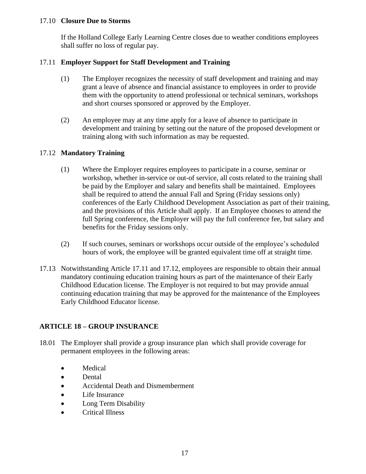## 17.10 **Closure Due to Storms**

If the Holland College Early Learning Centre closes due to weather conditions employees shall suffer no loss of regular pay.

## 17.11 **Employer Support for Staff Development and Training**

- (1) The Employer recognizes the necessity of staff development and training and may grant a leave of absence and financial assistance to employees in order to provide them with the opportunity to attend professional or technical seminars, workshops and short courses sponsored or approved by the Employer.
- (2) An employee may at any time apply for a leave of absence to participate in development and training by setting out the nature of the proposed development or training along with such information as may be requested.

## 17.12 **Mandatory Training**

- (1) Where the Employer requires employees to participate in a course, seminar or workshop, whether in-service or out-of service, all costs related to the training shall be paid by the Employer and salary and benefits shall be maintained. Employees shall be required to attend the annual Fall and Spring (Friday sessions only) conferences of the Early Childhood Development Association as part of their training, and the provisions of this Article shall apply. If an Employee chooses to attend the full Spring conference, the Employer will pay the full conference fee, but salary and benefits for the Friday sessions only.
- (2) If such courses, seminars or workshops occur outside of the employee's scheduled hours of work, the employee will be granted equivalent time off at straight time.
- 17.13 Notwithstanding Article 17.11 and 17.12, employees are responsible to obtain their annual mandatory continuing education training hours as part of the maintenance of their Early Childhood Education license. The Employer is not required to but may provide annual continuing education training that may be approved for the maintenance of the Employees Early Childhood Educator license.

## <span id="page-16-0"></span>**ARTICLE 18 – GROUP INSURANCE**

- 18.01 The Employer shall provide a group insurance plan which shall provide coverage for permanent employees in the following areas:
	- Medical
	- Dental
	- Accidental Death and Dismemberment
	- Life Insurance
	- Long Term Disability
	- •Critical Illness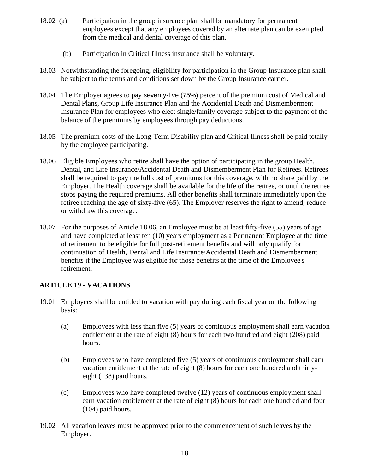- 18.02 (a) Participation in the group insurance plan shall be mandatory for permanent employees except that any employees covered by an alternate plan can be exempted from the medical and dental coverage of this plan.
	- (b) Participation in Critical Illness insurance shall be voluntary.
- 18.03 Notwithstanding the foregoing, eligibility for participation in the Group Insurance plan shall be subject to the terms and conditions set down by the Group Insurance carrier.
- 18.04 The Employer agrees to pay seventy-five (75%) percent of the premium cost of Medical and Dental Plans, Group Life Insurance Plan and the Accidental Death and Dismemberment Insurance Plan for employees who elect single/family coverage subject to the payment of the balance of the premiums by employees through pay deductions.
- 18.05 The premium costs of the Long-Term Disability plan and Critical Illness shall be paid totally by the employee participating.
- 18.06 Eligible Employees who retire shall have the option of participating in the group Health, Dental, and Life Insurance/Accidental Death and Dismemberment Plan for Retirees. Retirees shall be required to pay the full cost of premiums for this coverage, with no share paid by the Employer. The Health coverage shall be available for the life of the retiree, or until the retiree stops paying the required premiums. All other benefits shall terminate immediately upon the retiree reaching the age of sixty-five (65). The Employer reserves the right to amend, reduce or withdraw this coverage.
- 18.07 For the purposes of Article 18.06, an Employee must be at least fifty-five (55) years of age and have completed at least ten (10) years employment as a Permanent Employee at the time of retirement to be eligible for full post-retirement benefits and will only qualify for continuation of Health, Dental and Life Insurance/Accidental Death and Dismemberment benefits if the Employee was eligible for those benefits at the time of the Employee's retirement.

## <span id="page-17-0"></span>**ARTICLE 19 - VACATIONS**

- 19.01 Employees shall be entitled to vacation with pay during each fiscal year on the following basis:
	- (a) Employees with less than five (5) years of continuous employment shall earn vacation entitlement at the rate of eight (8) hours for each two hundred and eight (208) paid hours.
	- (b) Employees who have completed five (5) years of continuous employment shall earn vacation entitlement at the rate of eight (8) hours for each one hundred and thirtyeight (138) paid hours.
	- (c) Employees who have completed twelve (12) years of continuous employment shall earn vacation entitlement at the rate of eight (8) hours for each one hundred and four (104) paid hours.
- 19.02 All vacation leaves must be approved prior to the commencement of such leaves by the Employer.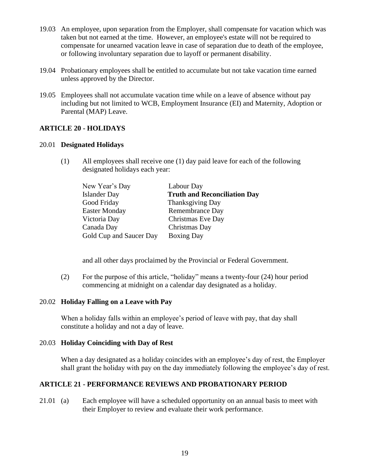- 19.03 An employee, upon separation from the Employer, shall compensate for vacation which was taken but not earned at the time. However, an employee's estate will not be required to compensate for unearned vacation leave in case of separation due to death of the employee, or following involuntary separation due to layoff or permanent disability.
- 19.04 Probationary employees shall be entitled to accumulate but not take vacation time earned unless approved by the Director.
- 19.05 Employees shall not accumulate vacation time while on a leave of absence without pay including but not limited to WCB, Employment Insurance (EI) and Maternity, Adoption or Parental (MAP) Leave.

## <span id="page-18-0"></span>**ARTICLE 20 - HOLIDAYS**

#### 20.01 **Designated Holidays**

(1) All employees shall receive one (1) day paid leave for each of the following designated holidays each year:

| New Year's Day          | Labour Day                          |
|-------------------------|-------------------------------------|
| <b>Islander Day</b>     | <b>Truth and Reconciliation Day</b> |
| Good Friday             | Thanksgiving Day                    |
| <b>Easter Monday</b>    | Remembrance Day                     |
| Victoria Day            | Christmas Eve Day                   |
| Canada Day              | Christmas Day                       |
| Gold Cup and Saucer Day | <b>Boxing Day</b>                   |

and all other days proclaimed by the Provincial or Federal Government.

(2) For the purpose of this article, "holiday" means a twenty-four (24) hour period commencing at midnight on a calendar day designated as a holiday.

#### 20.02 **Holiday Falling on a Leave with Pay**

When a holiday falls within an employee's period of leave with pay, that day shall constitute a holiday and not a day of leave.

#### 20.03 **Holiday Coinciding with Day of Rest**

When a day designated as a holiday coincides with an employee's day of rest, the Employer shall grant the holiday with pay on the day immediately following the employee's day of rest.

#### <span id="page-18-1"></span>**ARTICLE 21 - PERFORMANCE REVIEWS AND PROBATIONARY PERIOD**

21.01 (a) Each employee will have a scheduled opportunity on an annual basis to meet with their Employer to review and evaluate their work performance.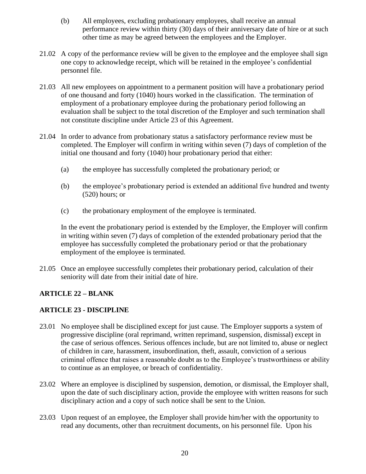- (b) All employees, excluding probationary employees, shall receive an annual performance review within thirty (30) days of their anniversary date of hire or at such other time as may be agreed between the employees and the Employer.
- 21.02 A copy of the performance review will be given to the employee and the employee shall sign one copy to acknowledge receipt, which will be retained in the employee's confidential personnel file.
- 21.03 All new employees on appointment to a permanent position will have a probationary period of one thousand and forty (1040) hours worked in the classification. The termination of employment of a probationary employee during the probationary period following an evaluation shall be subject to the total discretion of the Employer and such termination shall not constitute discipline under Article 23 of this Agreement.
- 21.04 In order to advance from probationary status a satisfactory performance review must be completed. The Employer will confirm in writing within seven (7) days of completion of the initial one thousand and forty (1040) hour probationary period that either:
	- (a) the employee has successfully completed the probationary period; or
	- (b) the employee's probationary period is extended an additional five hundred and twenty (520) hours; or
	- (c) the probationary employment of the employee is terminated.

In the event the probationary period is extended by the Employer, the Employer will confirm in writing within seven (7) days of completion of the extended probationary period that the employee has successfully completed the probationary period or that the probationary employment of the employee is terminated.

21.05 Once an employee successfully completes their probationary period, calculation of their seniority will date from their initial date of hire.

# **ARTICLE 22 – BLANK**

# <span id="page-19-0"></span>**ARTICLE 23 - DISCIPLINE**

- 23.01 No employee shall be disciplined except for just cause. The Employer supports a system of progressive discipline (oral reprimand, written reprimand, suspension, dismissal) except in the case of serious offences. Serious offences include, but are not limited to, abuse or neglect of children in care, harassment, insubordination, theft, assault, conviction of a serious criminal offence that raises a reasonable doubt as to the Employee's trustworthiness or ability to continue as an employee, or breach of confidentiality.
- 23.02 Where an employee is disciplined by suspension, demotion, or dismissal, the Employer shall, upon the date of such disciplinary action, provide the employee with written reasons for such disciplinary action and a copy of such notice shall be sent to the Union.
- 23.03 Upon request of an employee, the Employer shall provide him/her with the opportunity to read any documents, other than recruitment documents, on his personnel file. Upon his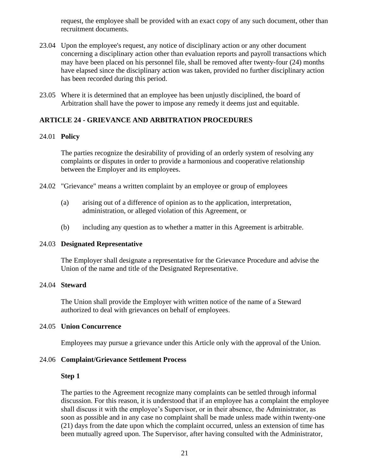request, the employee shall be provided with an exact copy of any such document, other than recruitment documents.

- 23.04 Upon the employee's request, any notice of disciplinary action or any other document concerning a disciplinary action other than evaluation reports and payroll transactions which may have been placed on his personnel file, shall be removed after twenty-four (24) months have elapsed since the disciplinary action was taken, provided no further disciplinary action has been recorded during this period.
- 23.05 Where it is determined that an employee has been unjustly disciplined, the board of Arbitration shall have the power to impose any remedy it deems just and equitable.

## <span id="page-20-0"></span>**ARTICLE 24 - GRIEVANCE AND ARBITRATION PROCEDURES**

#### 24.01 **Policy**

The parties recognize the desirability of providing of an orderly system of resolving any complaints or disputes in order to provide a harmonious and cooperative relationship between the Employer and its employees.

- 24.02 "Grievance" means a written complaint by an employee or group of employees
	- (a) arising out of a difference of opinion as to the application, interpretation, administration, or alleged violation of this Agreement, or
	- (b) including any question as to whether a matter in this Agreement is arbitrable.

#### 24.03 **Designated Representative**

The Employer shall designate a representative for the Grievance Procedure and advise the Union of the name and title of the Designated Representative.

#### 24.04 **Steward**

The Union shall provide the Employer with written notice of the name of a Steward authorized to deal with grievances on behalf of employees.

#### 24.05 **Union Concurrence**

Employees may pursue a grievance under this Article only with the approval of the Union.

#### 24.06 **Complaint/Grievance Settlement Process**

#### **Step 1**

The parties to the Agreement recognize many complaints can be settled through informal discussion. For this reason, it is understood that if an employee has a complaint the employee shall discuss it with the employee's Supervisor, or in their absence, the Administrator, as soon as possible and in any case no complaint shall be made unless made within twenty-one (21) days from the date upon which the complaint occurred, unless an extension of time has been mutually agreed upon. The Supervisor, after having consulted with the Administrator,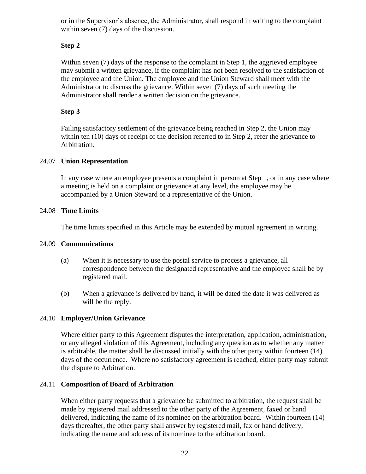or in the Supervisor's absence, the Administrator, shall respond in writing to the complaint within seven (7) days of the discussion.

# **Step 2**

Within seven (7) days of the response to the complaint in Step 1, the aggrieved employee may submit a written grievance, if the complaint has not been resolved to the satisfaction of the employee and the Union. The employee and the Union Steward shall meet with the Administrator to discuss the grievance. Within seven (7) days of such meeting the Administrator shall render a written decision on the grievance.

# **Step 3**

Failing satisfactory settlement of the grievance being reached in Step 2, the Union may within ten (10) days of receipt of the decision referred to in Step 2, refer the grievance to Arbitration.

# 24.07 **Union Representation**

In any case where an employee presents a complaint in person at Step 1, or in any case where a meeting is held on a complaint or grievance at any level, the employee may be accompanied by a Union Steward or a representative of the Union.

# 24.08 **Time Limits**

The time limits specified in this Article may be extended by mutual agreement in writing.

## 24.09 **Communications**

- (a) When it is necessary to use the postal service to process a grievance, all correspondence between the designated representative and the employee shall be by registered mail.
- (b) When a grievance is delivered by hand, it will be dated the date it was delivered as will be the reply.

## 24.10 **Employer/Union Grievance**

Where either party to this Agreement disputes the interpretation, application, administration, or any alleged violation of this Agreement, including any question as to whether any matter is arbitrable, the matter shall be discussed initially with the other party within fourteen (14) days of the occurrence. Where no satisfactory agreement is reached, either party may submit the dispute to Arbitration.

## 24.11 **Composition of Board of Arbitration**

When either party requests that a grievance be submitted to arbitration, the request shall be made by registered mail addressed to the other party of the Agreement, faxed or hand delivered, indicating the name of its nominee on the arbitration board. Within fourteen (14) days thereafter, the other party shall answer by registered mail, fax or hand delivery, indicating the name and address of its nominee to the arbitration board.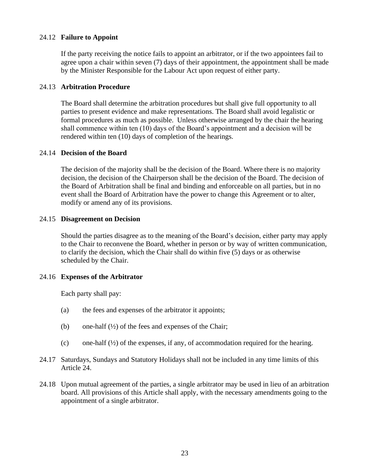#### 24.12 **Failure to Appoint**

If the party receiving the notice fails to appoint an arbitrator, or if the two appointees fail to agree upon a chair within seven (7) days of their appointment, the appointment shall be made by the Minister Responsible for the Labour Act upon request of either party.

#### 24.13 **Arbitration Procedure**

The Board shall determine the arbitration procedures but shall give full opportunity to all parties to present evidence and make representations. The Board shall avoid legalistic or formal procedures as much as possible. Unless otherwise arranged by the chair the hearing shall commence within ten (10) days of the Board's appointment and a decision will be rendered within ten (10) days of completion of the hearings.

#### 24.14 **Decision of the Board**

The decision of the majority shall be the decision of the Board. Where there is no majority decision, the decision of the Chairperson shall be the decision of the Board. The decision of the Board of Arbitration shall be final and binding and enforceable on all parties, but in no event shall the Board of Arbitration have the power to change this Agreement or to alter, modify or amend any of its provisions.

#### 24.15 **Disagreement on Decision**

Should the parties disagree as to the meaning of the Board's decision, either party may apply to the Chair to reconvene the Board, whether in person or by way of written communication, to clarify the decision, which the Chair shall do within five (5) days or as otherwise scheduled by the Chair.

#### 24.16 **Expenses of the Arbitrator**

Each party shall pay:

- (a) the fees and expenses of the arbitrator it appoints;
- (b) one-half  $(\frac{1}{2})$  of the fees and expenses of the Chair;
- (c) one-half  $(\frac{1}{2})$  of the expenses, if any, of accommodation required for the hearing.
- 24.17 Saturdays, Sundays and Statutory Holidays shall not be included in any time limits of this Article 24.
- 24.18 Upon mutual agreement of the parties, a single arbitrator may be used in lieu of an arbitration board. All provisions of this Article shall apply, with the necessary amendments going to the appointment of a single arbitrator.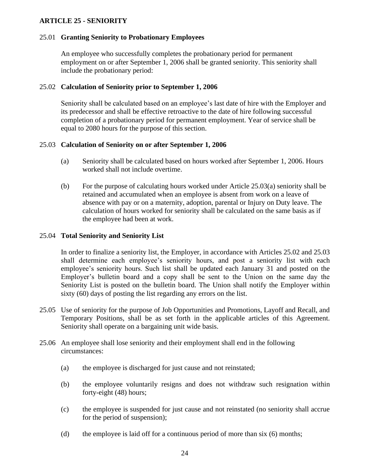## <span id="page-23-0"></span>**ARTICLE 25 - SENIORITY**

#### 25.01 **Granting Seniority to Probationary Employees**

An employee who successfully completes the probationary period for permanent employment on or after September 1, 2006 shall be granted seniority. This seniority shall include the probationary period:

#### 25.02 **Calculation of Seniority prior to September 1, 2006**

Seniority shall be calculated based on an employee's last date of hire with the Employer and its predecessor and shall be effective retroactive to the date of hire following successful completion of a probationary period for permanent employment. Year of service shall be equal to 2080 hours for the purpose of this section.

#### 25.03 **Calculation of Seniority on or after September 1, 2006**

- (a) Seniority shall be calculated based on hours worked after September 1, 2006. Hours worked shall not include overtime.
- (b) For the purpose of calculating hours worked under Article 25.03(a) seniority shall be retained and accumulated when an employee is absent from work on a leave of absence with pay or on a maternity, adoption, parental or Injury on Duty leave. The calculation of hours worked for seniority shall be calculated on the same basis as if the employee had been at work.

#### 25.04 **Total Seniority and Seniority List**

In order to finalize a seniority list, the Employer, in accordance with Articles 25.02 and 25.03 shall determine each employee's seniority hours, and post a seniority list with each employee's seniority hours. Such list shall be updated each January 31 and posted on the Employer's bulletin board and a copy shall be sent to the Union on the same day the Seniority List is posted on the bulletin board. The Union shall notify the Employer within sixty (60) days of posting the list regarding any errors on the list.

- 25.05 Use of seniority for the purpose of Job Opportunities and Promotions, Layoff and Recall, and Temporary Positions, shall be as set forth in the applicable articles of this Agreement. Seniority shall operate on a bargaining unit wide basis.
- 25.06 An employee shall lose seniority and their employment shall end in the following circumstances:
	- (a) the employee is discharged for just cause and not reinstated;
	- (b) the employee voluntarily resigns and does not withdraw such resignation within forty-eight (48) hours;
	- (c) the employee is suspended for just cause and not reinstated (no seniority shall accrue for the period of suspension);
	- (d) the employee is laid off for a continuous period of more than six (6) months;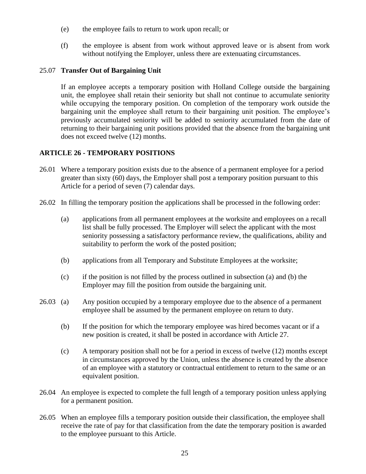- (e) the employee fails to return to work upon recall; or
- (f) the employee is absent from work without approved leave or is absent from work without notifying the Employer, unless there are extenuating circumstances.

# 25.07 **Transfer Out of Bargaining Unit**

If an employee accepts a temporary position with Holland College outside the bargaining unit, the employee shall retain their seniority but shall not continue to accumulate seniority while occupying the temporary position. On completion of the temporary work outside the bargaining unit the employee shall return to their bargaining unit position. The employee's previously accumulated seniority will be added to seniority accumulated from the date of returning to their bargaining unit positions provided that the absence from the bargaining unit does not exceed twelve (12) months.

# <span id="page-24-0"></span>**ARTICLE 26 - TEMPORARY POSITIONS**

- 26.01 Where a temporary position exists due to the absence of a permanent employee for a period greater than sixty (60) days, the Employer shall post a temporary position pursuant to this Article for a period of seven (7) calendar days.
- 26.02 In filling the temporary position the applications shall be processed in the following order:
	- (a) applications from all permanent employees at the worksite and employees on a recall list shall be fully processed. The Employer will select the applicant with the most seniority possessing a satisfactory performance review, the qualifications, ability and suitability to perform the work of the posted position;
	- (b) applications from all Temporary and Substitute Employees at the worksite;
	- (c) if the position is not filled by the process outlined in subsection (a) and (b) the Employer may fill the position from outside the bargaining unit.
- 26.03 (a) Any position occupied by a temporary employee due to the absence of a permanent employee shall be assumed by the permanent employee on return to duty.
	- (b) If the position for which the temporary employee was hired becomes vacant or if a new position is created, it shall be posted in accordance with Article 27.
	- (c) A temporary position shall not be for a period in excess of twelve (12) months except in circumstances approved by the Union, unless the absence is created by the absence of an employee with a statutory or contractual entitlement to return to the same or an equivalent position.
- 26.04 An employee is expected to complete the full length of a temporary position unless applying for a permanent position.
- 26.05 When an employee fills a temporary position outside their classification, the employee shall receive the rate of pay for that classification from the date the temporary position is awarded to the employee pursuant to this Article.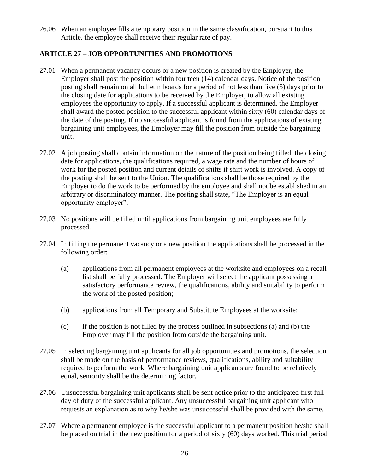26.06 When an employee fills a temporary position in the same classification, pursuant to this Article, the employee shall receive their regular rate of pay.

# <span id="page-25-0"></span>**ARTICLE 27 – JOB OPPORTUNITIES AND PROMOTIONS**

- 27.01 When a permanent vacancy occurs or a new position is created by the Employer, the Employer shall post the position within fourteen (14) calendar days. Notice of the position posting shall remain on all bulletin boards for a period of not less than five (5) days prior to the closing date for applications to be received by the Employer, to allow all existing employees the opportunity to apply. If a successful applicant is determined, the Employer shall award the posted position to the successful applicant within sixty (60) calendar days of the date of the posting. If no successful applicant is found from the applications of existing bargaining unit employees, the Employer may fill the position from outside the bargaining unit.
- 27.02 A job posting shall contain information on the nature of the position being filled, the closing date for applications, the qualifications required, a wage rate and the number of hours of work for the posted position and current details of shifts if shift work is involved. A copy of the posting shall be sent to the Union. The qualifications shall be those required by the Employer to do the work to be performed by the employee and shall not be established in an arbitrary or discriminatory manner. The posting shall state, "The Employer is an equal opportunity employer".
- 27.03 No positions will be filled until applications from bargaining unit employees are fully processed.
- 27.04 In filling the permanent vacancy or a new position the applications shall be processed in the following order:
	- (a) applications from all permanent employees at the worksite and employees on a recall list shall be fully processed. The Employer will select the applicant possessing a satisfactory performance review, the qualifications, ability and suitability to perform the work of the posted position;
	- (b) applications from all Temporary and Substitute Employees at the worksite;
	- (c) if the position is not filled by the process outlined in subsections (a) and (b) the Employer may fill the position from outside the bargaining unit.
- 27.05 In selecting bargaining unit applicants for all job opportunities and promotions, the selection shall be made on the basis of performance reviews, qualifications, ability and suitability required to perform the work. Where bargaining unit applicants are found to be relatively equal, seniority shall be the determining factor.
- 27.06 Unsuccessful bargaining unit applicants shall be sent notice prior to the anticipated first full day of duty of the successful applicant. Any unsuccessful bargaining unit applicant who requests an explanation as to why he/she was unsuccessful shall be provided with the same.
- 27.07 Where a permanent employee is the successful applicant to a permanent position he/she shall be placed on trial in the new position for a period of sixty (60) days worked. This trial period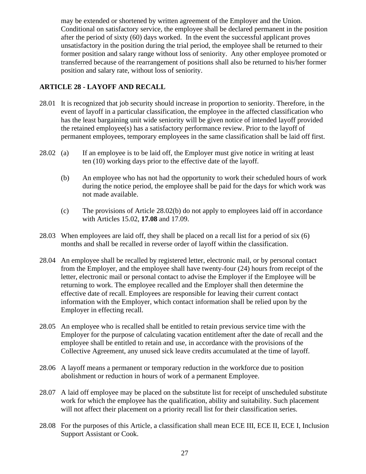may be extended or shortened by written agreement of the Employer and the Union. Conditional on satisfactory service, the employee shall be declared permanent in the position after the period of sixty (60) days worked. In the event the successful applicant proves unsatisfactory in the position during the trial period, the employee shall be returned to their former position and salary range without loss of seniority. Any other employee promoted or transferred because of the rearrangement of positions shall also be returned to his/her former position and salary rate, without loss of seniority.

# <span id="page-26-0"></span>**ARTICLE 28 - LAYOFF AND RECALL**

- 28.01 It is recognized that job security should increase in proportion to seniority. Therefore, in the event of layoff in a particular classification, the employee in the affected classification who has the least bargaining unit wide seniority will be given notice of intended layoff provided the retained employee(s) has a satisfactory performance review. Prior to the layoff of permanent employees, temporary employees in the same classification shall be laid off first.
- 28.02 (a) If an employee is to be laid off, the Employer must give notice in writing at least ten (10) working days prior to the effective date of the layoff.
	- (b) An employee who has not had the opportunity to work their scheduled hours of work during the notice period, the employee shall be paid for the days for which work was not made available.
	- (c) The provisions of Article 28.02(b) do not apply to employees laid off in accordance with Articles 15.02, **17.08** and 17.09.
- 28.03 When employees are laid off, they shall be placed on a recall list for a period of six (6) months and shall be recalled in reverse order of layoff within the classification.
- 28.04 An employee shall be recalled by registered letter, electronic mail, or by personal contact from the Employer, and the employee shall have twenty-four (24) hours from receipt of the letter, electronic mail or personal contact to advise the Employer if the Employee will be returning to work. The employee recalled and the Employer shall then determine the effective date of recall. Employees are responsible for leaving their current contact information with the Employer, which contact information shall be relied upon by the Employer in effecting recall.
- 28.05 An employee who is recalled shall be entitled to retain previous service time with the Employer for the purpose of calculating vacation entitlement after the date of recall and the employee shall be entitled to retain and use, in accordance with the provisions of the Collective Agreement, any unused sick leave credits accumulated at the time of layoff.
- 28.06 A layoff means a permanent or temporary reduction in the workforce due to position abolishment or reduction in hours of work of a permanent Employee.
- 28.07 A laid off employee may be placed on the substitute list for receipt of unscheduled substitute work for which the employee has the qualification, ability and suitability. Such placement will not affect their placement on a priority recall list for their classification series.
- 28.08 For the purposes of this Article, a classification shall mean ECE III, ECE II, ECE I, Inclusion Support Assistant or Cook.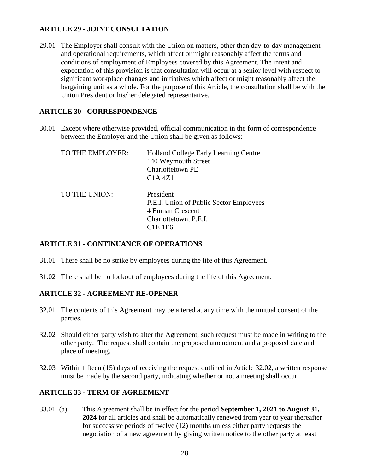## <span id="page-27-0"></span>**ARTICLE 29 - JOINT CONSULTATION**

29.01 The Employer shall consult with the Union on matters, other than day-to-day management and operational requirements, which affect or might reasonably affect the terms and conditions of employment of Employees covered by this Agreement. The intent and expectation of this provision is that consultation will occur at a senior level with respect to significant workplace changes and initiatives which affect or might reasonably affect the bargaining unit as a whole. For the purpose of this Article, the consultation shall be with the Union President or his/her delegated representative.

# <span id="page-27-1"></span>**ARTICLE 30 - CORRESPONDENCE**

30.01 Except where otherwise provided, official communication in the form of correspondence between the Employer and the Union shall be given as follows:

| TO THE EMPLOYER: | Holland College Early Learning Centre<br>140 Weymouth Street<br>Charlottetown PE<br>C <sub>1</sub> A 4Z <sub>1</sub> |
|------------------|----------------------------------------------------------------------------------------------------------------------|
| TO THE UNION:    | President<br>P.E.I. Union of Public Sector Employees<br>4 Enman Crescent<br>Charlottetown, P.E.I.<br><b>C1E 1E6</b>  |

## <span id="page-27-2"></span>**ARTICLE 31 - CONTINUANCE OF OPERATIONS**

- 31.01 There shall be no strike by employees during the life of this Agreement.
- 31.02 There shall be no lockout of employees during the life of this Agreement.

## <span id="page-27-3"></span>**ARTICLE 32 - AGREEMENT RE-OPENER**

- 32.01 The contents of this Agreement may be altered at any time with the mutual consent of the parties.
- 32.02 Should either party wish to alter the Agreement, such request must be made in writing to the other party. The request shall contain the proposed amendment and a proposed date and place of meeting.
- 32.03 Within fifteen (15) days of receiving the request outlined in Article 32.02, a written response must be made by the second party, indicating whether or not a meeting shall occur.

## <span id="page-27-4"></span>**ARTICLE 33 - TERM OF AGREEMENT**

33.01 (a) This Agreement shall be in effect for the period **September 1, 2021 to August 31, 2024** for all articles and shall be automatically renewed from year to year thereafter for successive periods of twelve (12) months unless either party requests the negotiation of a new agreement by giving written notice to the other party at least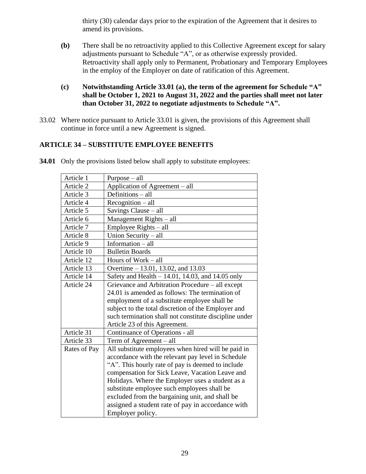thirty (30) calendar days prior to the expiration of the Agreement that it desires to amend its provisions.

- **(b)** There shall be no retroactivity applied to this Collective Agreement except for salary adjustments pursuant to Schedule "A", or as otherwise expressly provided. Retroactivity shall apply only to Permanent, Probationary and Temporary Employees in the employ of the Employer on date of ratification of this Agreement.
- **(c) Notwithstanding Article 33.01 (a), the term of the agreement for Schedule "A" shall be October 1, 2021 to August 31, 2022 and the parties shall meet not later than October 31, 2022 to negotiate adjustments to Schedule "A".**
- 33.02 Where notice pursuant to Article 33.01 is given, the provisions of this Agreement shall continue in force until a new Agreement is signed.

# <span id="page-28-0"></span>**ARTICLE 34 – SUBSTITUTE EMPLOYEE BENEFITS**

| Article 1    | $Purpose - all$                                        |
|--------------|--------------------------------------------------------|
| Article 2    | Application of Agreement - all                         |
| Article 3    | Definitions - all                                      |
| Article 4    | $Recognition - all$                                    |
| Article 5    | Savings Clause - all                                   |
| Article 6    | Management Rights - all                                |
| Article 7    | Employee Rights – all                                  |
| Article 8    | Union Security - all                                   |
| Article 9    | Information $-$ all                                    |
| Article 10   | <b>Bulletin Boards</b>                                 |
| Article 12   | Hours of Work - all                                    |
| Article 13   | Overtime – 13.01, 13.02, and 13.03                     |
| Article 14   | Safety and Health - 14.01, 14.03, and 14.05 only       |
| Article 24   | Grievance and Arbitration Procedure - all except       |
|              | 24.01 is amended as follows: The termination of        |
|              | employment of a substitute employee shall be           |
|              | subject to the total discretion of the Employer and    |
|              | such termination shall not constitute discipline under |
|              | Article 23 of this Agreement.                          |
| Article 31   | Continuance of Operations - all                        |
| Article 33   | Term of Agreement $-$ all                              |
| Rates of Pay | All substitute employees when hired will be paid in    |
|              | accordance with the relevant pay level in Schedule     |
|              | "A". This hourly rate of pay is deemed to include      |
|              | compensation for Sick Leave, Vacation Leave and        |
|              | Holidays. Where the Employer uses a student as a       |
|              | substitute employee such employees shall be            |
|              | excluded from the bargaining unit, and shall be        |
|              | assigned a student rate of pay in accordance with      |
|              | Employer policy.                                       |

**34.01** Only the provisions listed below shall apply to substitute employees: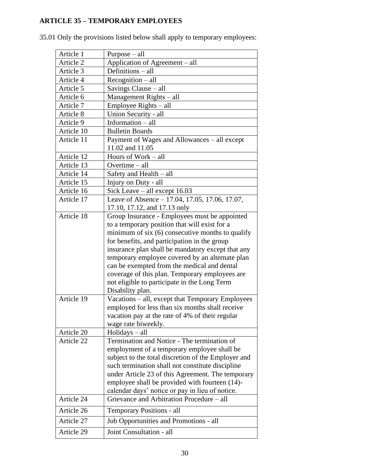# <span id="page-29-0"></span>**ARTICLE 35 – TEMPORARY EMPLOYEES**

| Article 1  | $Purpose - all$                                     |
|------------|-----------------------------------------------------|
| Article 2  | Application of Agreement – all                      |
| Article 3  | Definitions - all                                   |
| Article 4  | Recognition - all                                   |
| Article 5  | Savings Clause - all                                |
| Article 6  | Management Rights - all                             |
| Article 7  | Employee Rights – all                               |
| Article 8  | Union Security - all                                |
| Article 9  | Information - all                                   |
| Article 10 | <b>Bulletin Boards</b>                              |
| Article 11 | Payment of Wages and Allowances - all except        |
|            | 11.02 and 11.05                                     |
| Article 12 | Hours of Work - all                                 |
| Article 13 | Overtime - all                                      |
| Article 14 | Safety and Health – all                             |
| Article 15 | Injury on Duty - all                                |
| Article 16 | Sick Leave $-$ all except 16.03                     |
| Article 17 | Leave of Absence - 17.04, 17.05, 17.06, 17.07,      |
|            | 17.10, 17.12, and 17.13 only                        |
| Article 18 | Group Insurance - Employees must be appointed       |
|            | to a temporary position that will exist for a       |
|            | minimum of six $(6)$ consecutive months to qualify  |
|            | for benefits, and participation in the group        |
|            | insurance plan shall be mandatory except that any   |
|            | temporary employee covered by an alternate plan     |
|            | can be exempted from the medical and dental         |
|            | coverage of this plan. Temporary employees are      |
|            | not eligible to participate in the Long Term        |
|            | Disability plan.                                    |
| Article 19 | Vacations - all, except that Temporary Employees    |
|            | employed for less than six months shall receive     |
|            | vacation pay at the rate of 4% of their regular     |
|            | wage rate biweekly.                                 |
| Article 20 | $Holidays - all$                                    |
| Article 22 | Termination and Notice - The termination of         |
|            | employment of a temporary employee shall be         |
|            | subject to the total discretion of the Employer and |
|            | such termination shall not constitute discipline    |
|            | under Article 23 of this Agreement. The temporary   |
|            | employee shall be provided with fourteen (14)-      |
|            | calendar days' notice or pay in lieu of notice.     |
| Article 24 | Grievance and Arbitration Procedure - all           |
| Article 26 | Temporary Positions - all                           |
| Article 27 | Job Opportunities and Promotions - all              |
| Article 29 | Joint Consultation - all                            |

35.01 Only the provisions listed below shall apply to temporary employees: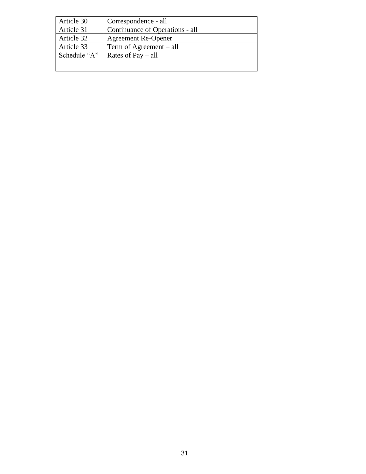| Article 30   | Correspondence - all            |
|--------------|---------------------------------|
| Article 31   | Continuance of Operations - all |
| Article 32   | <b>Agreement Re-Opener</b>      |
| Article 33   | Term of Agreement $-$ all       |
| Schedule "A" | Rates of $Pay - all$            |
|              |                                 |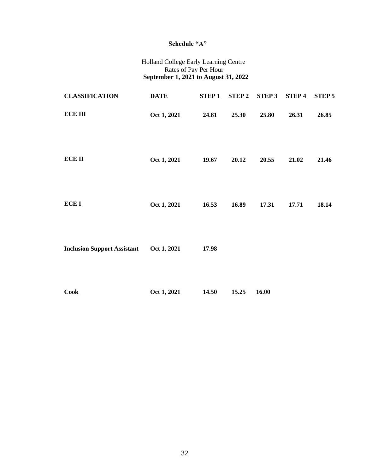## **Schedule "A"**

#### Holland College Early Learning Centre Rates of Pay Per Hour  **September 1, 2021 to August 31, 2022**

| <b>CLASSIFICATION</b>              | <b>DATE</b> | <b>STEP1</b> | <b>STEP 2</b> | <b>STEP 3</b> | <b>STEP4</b> | <b>STEP 5</b> |
|------------------------------------|-------------|--------------|---------------|---------------|--------------|---------------|
| <b>ECE III</b>                     | Oct 1, 2021 | 24.81        | 25.30         | 25.80         | 26.31        | 26.85         |
| <b>ECE II</b>                      | Oct 1, 2021 | 19.67        | 20.12         | 20.55         | 21.02        | 21.46         |
| <b>ECEI</b>                        | Oct 1, 2021 | 16.53        | 16.89         | 17.31         | 17.71        | 18.14         |
| <b>Inclusion Support Assistant</b> | Oct 1, 2021 | 17.98        |               |               |              |               |
| <b>Cook</b>                        | Oct 1, 2021 | 14.50        | 15.25         | 16.00         |              |               |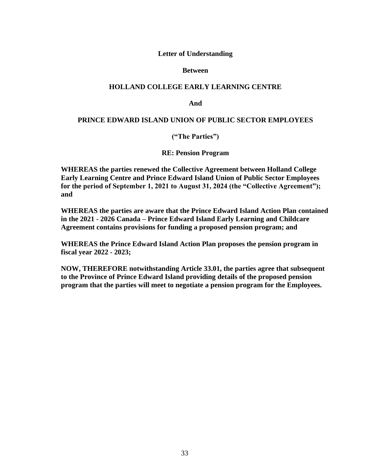#### **Letter of Understanding**

#### **Between**

#### **HOLLAND COLLEGE EARLY LEARNING CENTRE**

**And**

#### **PRINCE EDWARD ISLAND UNION OF PUBLIC SECTOR EMPLOYEES**

**("The Parties")**

**RE: Pension Program**

**WHEREAS the parties renewed the Collective Agreement between Holland College Early Learning Centre and Prince Edward Island Union of Public Sector Employees for the period of September 1, 2021 to August 31, 2024 (the "Collective Agreement"); and**

**WHEREAS the parties are aware that the Prince Edward Island Action Plan contained in the 2021 - 2026 Canada – Prince Edward Island Early Learning and Childcare Agreement contains provisions for funding a proposed pension program; and**

**WHEREAS the Prince Edward Island Action Plan proposes the pension program in fiscal year 2022 - 2023;**

**NOW, THEREFORE notwithstanding Article 33.01, the parties agree that subsequent to the Province of Prince Edward Island providing details of the proposed pension program that the parties will meet to negotiate a pension program for the Employees.**